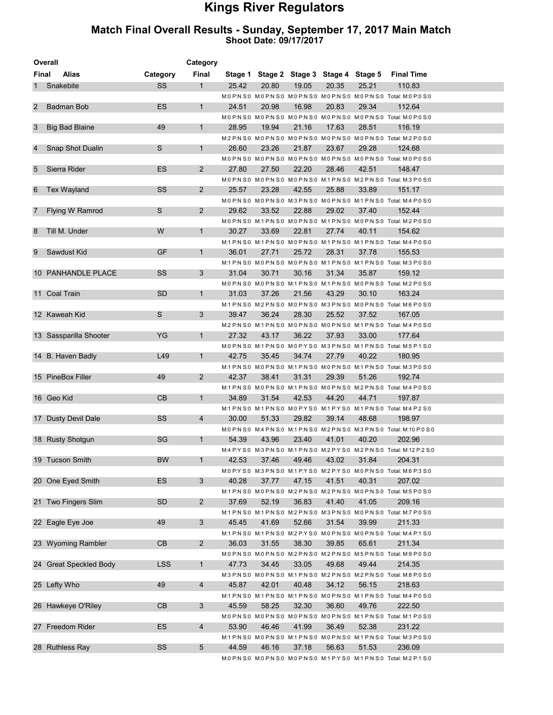## Kings River Regulators

## Match Final Overall Results - Sunday, September 17, 2017 Main Match Shoot Date: 09/17/2017

| Overall | Category               |            |                |       |       |       |                                         |       |                                                                                            |
|---------|------------------------|------------|----------------|-------|-------|-------|-----------------------------------------|-------|--------------------------------------------------------------------------------------------|
| Final   | Alias                  | Category   | Final          |       |       |       | Stage 1 Stage 2 Stage 3 Stage 4 Stage 5 |       | <b>Final Time</b>                                                                          |
|         | Snakebite              | SS         | $\mathbf{1}$   | 25.42 | 20.80 | 19.05 | 20.35                                   | 25.21 | 110.83                                                                                     |
|         |                        |            |                |       |       |       |                                         |       | M:0 P:N S:0 M:0 P:N S:0 M:0 P:N S:0 M:0 P:N S:0 M:0 P:N S:0 Total: M:0 P:0 S:0             |
| 2       | Badman Bob             | ES         | $\mathbf{1}$   | 24.51 | 20.98 | 16.98 | 20.83                                   | 29.34 | 112.64                                                                                     |
|         |                        |            |                |       |       |       |                                         |       | M:0 P:N S:0 M:0 P:N S:0 M:0 P:N S:0 M:0 P:N S:0 M:0 P:N S:0 M:0 P:N S:0 Total: M:0 P:0 S:0 |
| 3       | <b>Big Bad Blaine</b>  | 49         | $\mathbf{1}$   | 28.95 | 19.94 | 21.16 | 17.63                                   | 28.51 | 116.19                                                                                     |
|         |                        |            |                |       |       |       |                                         |       | M:2 P:N S:0 M:0 P:N S:0 M:0 P:N S:0 M:0 P:N S:0 M:0 P:N S:0 Total: M:2 P:0 S:0             |
| 4       | Snap Shot Dualin       | S          | $\mathbf{1}$   | 26.60 | 23.26 | 21.87 | 23.67                                   | 29.28 | 124.68                                                                                     |
|         |                        |            |                |       |       |       |                                         |       | M:0 P:N S:0 M:0 P:N S:0 M:0 P:N S:0 M:0 P:N S:0 M:0 P:N S:0 Total: M:0 P:0 S:0             |
| 5       | Sierra Rider           | ES         | $\overline{2}$ | 27.80 | 27.50 | 22.20 | 28.46                                   | 42.51 | 148.47                                                                                     |
|         |                        |            |                |       |       |       |                                         |       | M:0 P:N S:0 M:0 P:N S:0 M:0 P:N S:0 M:1 P:N S:0 M:2 P:N S:0 Total: M:3 P:0 S:0             |
| 6       | <b>Tex Wayland</b>     | SS         | $\overline{2}$ | 25.57 | 23.28 | 42.55 | 25.88                                   | 33.89 | 151.17                                                                                     |
|         |                        |            |                |       |       |       |                                         |       | M:0 P:N S:0 M:0 P:N S:0 M:3 P:N S:0 M:0 P:N S:0 M:1 P:N S:0 Total: M:4 P:0 S:0             |
| 7       | Flying W Ramrod        | S          | $\overline{2}$ | 29.62 | 33.52 | 22.88 | 29.02                                   | 37.40 | 152.44                                                                                     |
|         |                        |            |                |       |       |       |                                         |       | M:0 P:N S:0 M:1 P:N S:0 M:0 P:N S:0 M:1 P:N S:0 M:0 P:N S:0 Total: M:2 P:0 S:0             |
| 8       | Till M. Under          | W          | $\mathbf{1}$   | 30.27 | 33.69 | 22.81 | 27.74                                   | 40.11 | 154.62                                                                                     |
|         |                        |            |                |       |       |       |                                         |       | M:1 P:N S:0 M:1 P:N S:0 M:0 P:N S:0 M:1 P:N S:0 M:1 P:N S:0 Total: M:4 P:0 S:0             |
| 9       | Sawdust Kid            | GF         | $\mathbf{1}$   | 36.01 | 27.71 | 25.72 | 28.31                                   | 37.78 | 155.53                                                                                     |
|         |                        |            |                |       |       |       |                                         |       | M:1 P:N S:0 M:0 P:N S:0 M:0 P:N S:0 M:1 P:N S:0 M:1 P:N S:0 Total: M:3 P:0 S:0             |
|         | 10 PANHANDLE PLACE     | SS         | 3              | 31.04 | 30.71 | 30.16 | 31.34                                   | 35.87 | 159.12                                                                                     |
|         |                        |            |                |       |       |       |                                         |       | M:0 P:N S:0 M:0 P:N S:0 M:1 P:N S:0 M:1 P:N S:0 M:0 P:N S:0 Total: M:2 P:0 S:0             |
|         | 11 Coal Train          | <b>SD</b>  | $\mathbf{1}$   | 31.03 | 37.26 | 21.56 | 43.29                                   | 30.10 | 163.24                                                                                     |
|         |                        |            |                |       |       |       |                                         |       | M:1 P:N S:0 M:2 P:N S:0 M:0 P:N S:0 M:3 P:N S:0 M:0 P:N S:0 Total: M:6 P:0 S:0             |
|         | 12 Kaweah Kid          | S          | 3              | 39.47 | 36.24 | 28.30 | 25.52                                   | 37.52 | 167.05                                                                                     |
|         |                        |            |                |       |       |       |                                         |       | M:2 P:N S:0 M:1 P:N S:0 M:0 P:N S:0 M:0 P:N S:0 M:1 P:N S:0 Total: M:4 P:0 S:0             |
|         | 13 Sassparilla Shooter | YG         | $\mathbf{1}$   | 27.32 | 43.17 | 36.22 | 37.93                                   | 33.00 | 177.64                                                                                     |
|         |                        |            |                |       |       |       |                                         |       | M:0 P:N S:0 M:1 P:N S:0 M:0 P:Y S:0 M:3 P:N S:0 M:1 P:N S:0 Total: M:5 P:1 S:0             |
|         | 14 B. Haven Badly      | L49        | $\mathbf{1}$   | 42.75 | 35.45 | 34.74 | 27.79                                   | 40.22 | 180.95                                                                                     |
|         |                        |            |                |       |       |       |                                         |       | M:1 P:N S:0 M:0 P:N S:0 M:1 P:N S:0 M:0 P:N S:0 M:1 P:N S:0 Total: M:3 P:0 S:0             |
|         | 15 PineBox Filler      | 49         | $\overline{2}$ | 42.37 | 38.41 | 31.31 | 29.39                                   | 51.26 | 192.74                                                                                     |
|         |                        |            |                |       |       |       |                                         |       | M:1 P:N S:0 M:0 P:N S:0 M:1 P:N S:0 M:0 P:N S:0 M:2 P:N S:0 Total: M:4 P:0 S:0             |
|         | 16 Geo Kid             | CB         | $\mathbf{1}$   | 34.89 | 31.54 | 42.53 | 44.20                                   | 44.71 | 197.87                                                                                     |
|         |                        |            |                |       |       |       |                                         |       | M:1 P:N S:0 M:1 P:N S:0 M:0 P:Y S:0 M:1 P:Y S:0 M:1 P:N S:0 Total: M:4 P:2 S:0             |
|         | 17 Dusty Devil Dale    | SS         | $\overline{4}$ | 30.00 | 51.33 | 29.82 | 39.14                                   | 48.68 | 198.97                                                                                     |
|         |                        |            |                |       |       |       |                                         |       | M:0 P:N S:0 M:4 P:N S:0 M:1 P:N S:0 M:2 P:N S:0 M:3 P:N S:0 Total: M:10 P:0 S:0            |
|         | 18 Rusty Shotgun       | SG         | $\mathbf{1}$   | 54.39 | 43.96 | 23.40 | 41.01                                   | 40.20 | 202.96                                                                                     |
|         |                        |            |                |       |       |       |                                         |       | M:4 P:Y S:0 M:3 P:N S:0 M:1 P:N S:0 M:2 P:Y S:0 M:2 P:N S:0 Total: M:12 P:2 S:0            |
|         | 19 Tucson Smith        | <b>BW</b>  | 1              | 42.53 | 37.46 | 49.46 | 43.02                                   | 31.84 | 204.31                                                                                     |
|         |                        |            |                |       |       |       |                                         |       | M:0 P:Y S:0 M:3 P:N S:0 M:1 P:Y S:0 M:2 P:Y S:0 M:0 P:N S:0 Total: M:6 P:3 S:0             |
|         | 20 One Eyed Smith      | ES         | 3              | 40.28 | 37.77 | 47.15 | 41.51                                   | 40.31 | 207.02                                                                                     |
|         |                        |            |                |       |       |       |                                         |       | M:1 P:N S:0 M:0 P:N S:0 M:2 P:N S:0 M:2 P:N S:0 M:0 P:N S:0 Total: M:5 P:0 S:0             |
|         | 21 Two Fingers Slim    | <b>SD</b>  | $\overline{2}$ | 37.69 | 52.19 | 36.83 | 41.40                                   | 41.05 | 209.16                                                                                     |
|         |                        |            |                |       |       |       |                                         |       | M:1 P:N S:0 M:1 P:N S:0 M:2 P:N S:0 M:3 P:N S:0 M:0 P:N S:0 Total: M:7 P:0 S:0             |
|         | 22 Eagle Eye Joe       | 49         | 3              | 45.45 | 41.69 | 52.66 | 31.54                                   | 39.99 | 211.33                                                                                     |
|         |                        |            |                |       |       |       |                                         |       | M:1 P:N S:0 M:1 P:N S:0 M:2 P:Y S:0 M:0 P:N S:0 M:0 P:N S:0 Total: M:4 P:1 S:0             |
|         | 23 Wyoming Rambler     | CB         | $\overline{2}$ | 36.03 | 31.55 | 38.30 | 39.85                                   | 65.61 | 211.34                                                                                     |
|         |                        |            |                |       |       |       |                                         |       | M:0 P:N S:0 M:0 P:N S:0 M:2 P:N S:0 M:2 P:N S:0 M:5 P:N S:0 Total: M:9 P:0 S:0             |
|         | 24 Great Speckled Body | <b>LSS</b> | 1              | 47.73 | 34.45 | 33.05 | 49.68                                   | 49.44 | 214.35                                                                                     |
|         |                        |            |                |       |       |       |                                         |       | M:3 P:N S:0 M:0 P:N S:0 M:1 P:N S:0 M:2 P:N S:0 M:2 P:N S:0 Total: M:8 P:0 S:0             |
|         | 25 Lefty Who           | 49         | 4              | 45.87 | 42.01 | 40.48 | 34.12                                   | 56.15 | 218.63                                                                                     |
|         |                        |            |                |       |       |       |                                         |       | M:1 P:N S:0 M:1 P:N S:0 M:1 P:N S:0 M:0 P:N S:0 M:1 P:N S:0 Total: M:4 P:0 S:0             |
|         | 26 Hawkeye O'Riley     | CB         | 3              | 45.59 | 58.25 | 32.30 | 36.60                                   | 49.76 | 222.50                                                                                     |
|         |                        |            |                |       |       |       |                                         |       | M:0 P:N S:0 M:0 P:N S:0 M:0 P:N S:0 M:0 P:N S:0 M:1 P:N S:0 Total: M:1 P:0 S:0             |
|         | 27 Freedom Rider       | ES         | 4              | 53.90 | 46.46 | 41.99 | 36.49                                   | 52.38 | 231.22                                                                                     |
|         |                        |            |                |       |       |       |                                         |       | M:1 P:N S:0 M:0 P:N S:0 M:1 P:N S:0 M:0 P:N S:0 M:1 P:N S:0 Total: M:3 P:0 S:0             |
|         | 28 Ruthless Ray        | SS         | 5              | 44.59 | 46.16 | 37.18 | 56.63                                   | 51.53 | 236.09                                                                                     |
|         |                        |            |                |       |       |       |                                         |       | M:0 P:N S:0 M:0 P:N S:0 M:0 P:N S:0 M:1 P:Y S:0 M:1 P:N S:0 Total: M:2 P:1 S:0             |